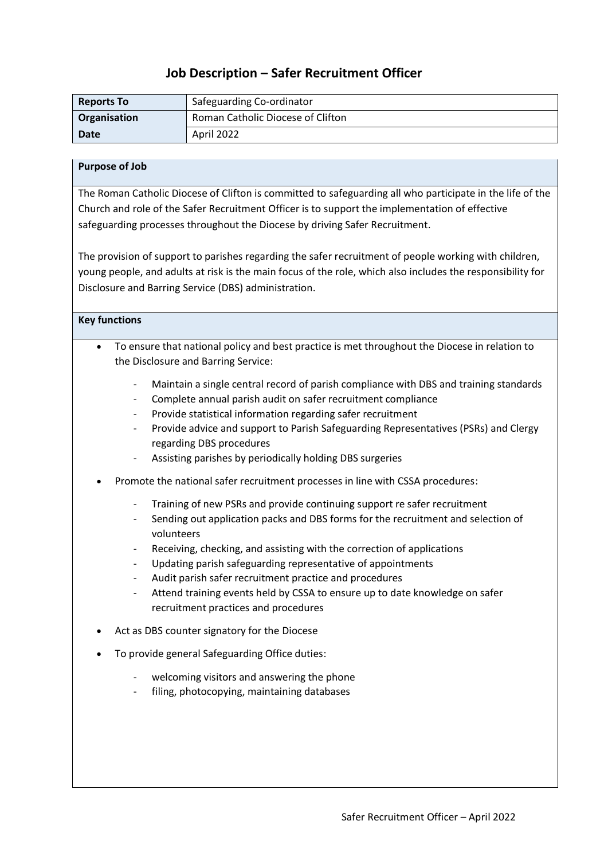## **Job Description – Safer Recruitment Officer**

| <b>Reports To</b> | Safeguarding Co-ordinator         |
|-------------------|-----------------------------------|
| Organisation      | Roman Catholic Diocese of Clifton |
| Date              | April 2022                        |

## **Purpose of Job**

The Roman Catholic Diocese of Clifton is committed to safeguarding all who participate in the life of the Church and role of the Safer Recruitment Officer is to support the implementation of effective safeguarding processes throughout the Diocese by driving Safer Recruitment.

The provision of support to parishes regarding the safer recruitment of people working with children, young people, and adults at risk is the main focus of the role, which also includes the responsibility for Disclosure and Barring Service (DBS) administration.

## **Key functions**

- To ensure that national policy and best practice is met throughout the Diocese in relation to the Disclosure and Barring Service:
	- Maintain a single central record of parish compliance with DBS and training standards
	- Complete annual parish audit on safer recruitment compliance
	- Provide statistical information regarding safer recruitment
	- Provide advice and support to Parish Safeguarding Representatives (PSRs) and Clergy regarding DBS procedures
	- Assisting parishes by periodically holding DBS surgeries
- Promote the national safer recruitment processes in line with CSSA procedures:
	- Training of new PSRs and provide continuing support re safer recruitment
	- Sending out application packs and DBS forms for the recruitment and selection of volunteers
	- Receiving, checking, and assisting with the correction of applications
	- Updating parish safeguarding representative of appointments
	- Audit parish safer recruitment practice and procedures
	- Attend training events held by CSSA to ensure up to date knowledge on safer recruitment practices and procedures
- Act as DBS counter signatory for the Diocese
- To provide general Safeguarding Office duties:
	- welcoming visitors and answering the phone
	- filing, photocopying, maintaining databases